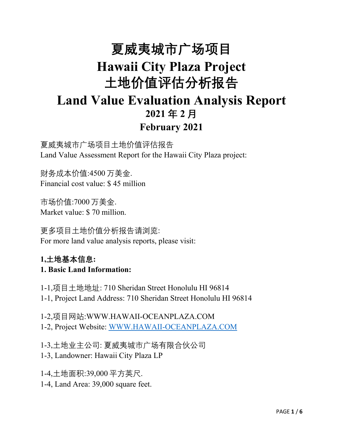# **夏威夷城市广场项目 Hawaii City Plaza Project 土地价值评估分析报告 Land Value Evaluation Analysis Report 2021 年 2 月 February 2021**

夏威夷城市广场项目土地价值评估报告 Land Value Assessment Report for the Hawaii City Plaza project:

财务成本价值:4500 万美金. Financial cost value: \$ 45 million

市场价值:7000 万美金. Market value: \$ 70 million.

更多项目土地价值分析报告请浏览: For more land value analysis reports, please visit:

#### **1,土地基本信息: 1. Basic Land Information:**

1-1,项目土地地址: 710 Sheridan Street Honolulu HI 96814 1-1, Project Land Address: 710 Sheridan Street Honolulu HI 96814

1-2,项目网站:WWW.HAWAII-OCEANPLAZA.COM 1-2, Project Website: [WWW.HAWAII-OCEANPLAZA.COM](http://www.hawaii-oceanplaza.com)

1-3,土地业主公司: 夏威夷城市广场有限合伙公司

- 1-3, Landowner: Hawaii City Plaza LP
- 1-4,土地面积:39,000 平方英尺.

1-4, Land Area: 39,000 square feet.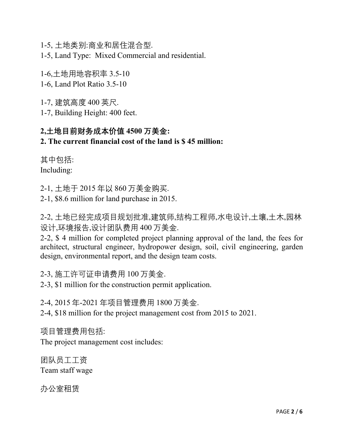1-5, 土地类别:商业和居住混合型.

1-5, Land Type: Mixed Commercial and residential.

1-6,土地用地容积率 3.5-10

1-6, Land Plot Ratio 3.5-10

1-7, 建筑高度 400 英尺.

1-7, Building Height: 400 feet.

# **2,土地目前财务成本价值 4500 万美金:**

#### **2. The current financial cost of the land is \$ 45 million:**

其中包括: Including:

2-1, 土地于 2015 年以 860 万美金购买.

2-1, \$8.6 million for land purchase in 2015.

2-2, 土地已经完成项目规划批准,建筑师,结构工程师,水电设计,土壤,土木,园林 设计,环境报告,设计团队费用 400 万美金.

2-2, \$ 4 million for completed project planning approval of the land, the fees for architect, structural engineer, hydropower design, soil, civil engineering, garden design, environmental report, and the design team costs.

2-3, 施工许可证申请费用 100 万美金.

2-3, \$1 million for the construction permit application.

2-4, 2015 年-2021 年项目管理费用 1800 万美金.

2-4, \$18 million for the project management cost from 2015 to 2021.

项目管理费用包括: The project management cost includes:

团队员工工资 Team staff wage

办公室租赁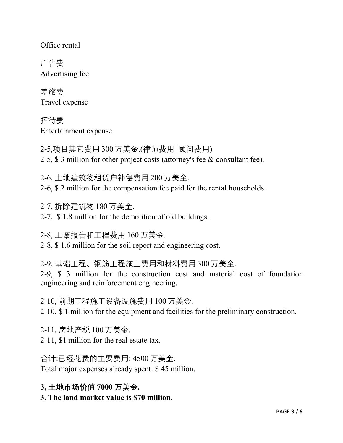Office rental

广告费 Advertising fee

差旅费 Travel expense

招待费 Entertainment expense

2-5,项目其它费用 300 万美金.(律师费用\_顾问费用) 2-5, \$ 3 million for other project costs (attorney's fee & consultant fee).

2-6, 土地建筑物租赁户补偿费用 200 万美金.

2-6, \$ 2 million for the compensation fee paid for the rental households.

2-7, 拆除建筑物 180 万美金.

2-7, \$ 1.8 million for the demolition of old buildings.

2-8, 土壤报告和工程费用 160 万美金.

2-8, \$ 1.6 million for the soil report and engineering cost.

2-9, 基础工程、钢筋工程施工费用和材料费用 300 万美金. 2-9, \$ 3 million for the construction cost and material cost of foundation engineering and reinforcement engineering.

2-10, 前期工程施工设备设施费用 100 万美金. 2-10, \$ 1 million for the equipment and facilities for the preliminary construction.

2-11, 房地产税 100 万美金.

2-11, \$1 million for the real estate tax.

合计:已经花费的主要费用: 4500 万美金. Total major expenses already spent: \$ 45 million.

**3, 土地市场价值 7000 万美金.**

**3. The land market value is \$70 million.**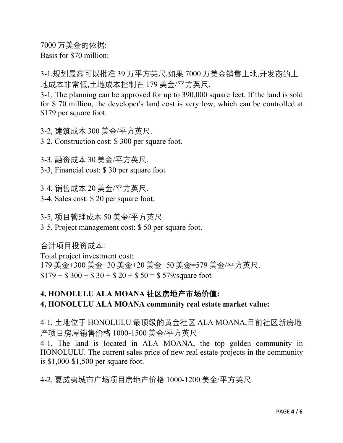7000 万美金的依据: Basis for \$70 million:

3-1,规划最高可以批准 39 万平方英尺,如果 7000 万美金销售土地,开发商的土 地成本非常低,土地成本控制在 179 美金/平方英尺.

3-1, The planning can be approved for up to 390,000 square feet. If the land is sold for \$ 70 million, the developer's land cost is very low, which can be controlled at \$179 per square foot.

3-2, 建筑成本 300 美金/平方英尺.

3-2, Construction cost: \$ 300 per square foot.

3-3, 融资成本 30 美金/平方英尺.

3-3, Financial cost: \$ 30 per square foot

3-4, 销售成本 20 美金/平方英尺.

3-4, Sales cost:\$ 20 per square foot.

3-5, 项目管理成本 50 美金/平方英尺.

3-5, Project management cost: \$ 50 per square foot.

合计项目投资成本:

Total project investment cost: 179 美金+300 美金+30 美金+20 美金+50 美金=579 美金/平方英尺.  $$179 + $300 + $30 + $20 + $50 = $579$ /square foot

## **4, HONOLULU ALA MOANA 社区房地产市场价值: 4, HONOLULU ALA MOANA community real estate market value:**

4-1, 土地位于 HONOLULU 最顶级的黄金社区 ALA MOANA,目前社区新房地 产项目房屋销售价格 1000-1500 美金/平方英尺

4-1, The land is located in ALA MOANA, the top golden community in HONOLULU. The current sales price of new real estate projects in the community is \$1,000-\$1,500 per square foot.

4-2, 夏威夷城市广场项目房地产价格 1000-1200 美金/平方英尺.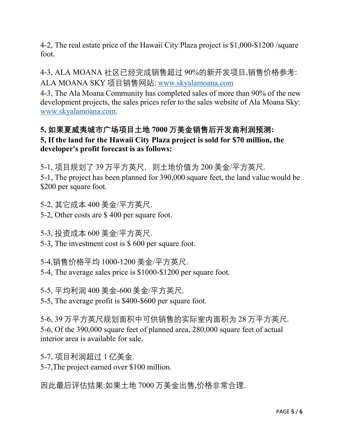4-2, The real estate price of the Hawaii City Plaza project is \$1,000-\$1200 /square foot.

4-3, ALA MOANA 社区已经完成销售超过 90%的新开发项目,销售价格参考: ALA MOANA SKY 项目销售网站: [www.skyalamoana.com](http://www.skyalamoana.com)

4-3, The Ala Moana Community has completed sales of more than 90% of the new development projects, the sales prices refer to the sales website of Ala Moana Sky: [www.skyalamoana.com](http://www.skyalamoana.com).

### **5, 如果夏威夷城市广场项目土地 7000 万美金销售后开发商利润预测: 5, If the land for the Hawaii City Plaza project is sold for \$70 million, the developer's profit forecast is as follows:**

5-1, 项目规划了 39 万平方英尺, 则土地价值为 200 美金/平方英尺.

5-1, The project has been planned for 390,000 square feet, the land value would be \$200 per square foot.

5-2, 其它成本 400 美金/平方英尺.

5-2, Other costs are \$ 400 per square foot.

5-3, 投资成本 600 美金/平方英尺.

5-3, The investment cost is \$ 600 per square foot.

5-4,销售价格平均 1000-1200 美金/平方英尺.

5-4, The average sales price is \$1000-\$1200 per square foot.

5-5, 平均利润 400 美金-600 美金/平方英尺.

5-5, The average profit is \$400-\$600 per square foot.

5-6, 39 万平方英尺规划面积中可供销售的实际室内面积为 28 万平方英尺. 5-6, Of the 390,000 square feet of planned area, 280,000 square feet of actual interior area is available for sale.

5-7, 项目利润超过 1 亿美金.

5-7,The project earned over \$100 million.

因此最后评估结果:如果土地 7000 万美金出售,价格非常合理.